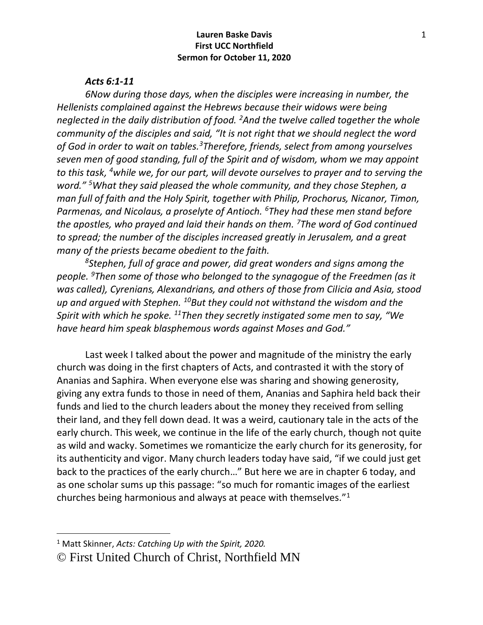#### *Acts 6:1-11*

*6Now during those days, when the disciples were increasing in number, the Hellenists complained against the Hebrews because their widows were being neglected in the daily distribution of food. <sup>2</sup>And the twelve called together the whole community of the disciples and said, "It is not right that we should neglect the word of God in order to wait on tables.<sup>3</sup>Therefore, friends, select from among yourselves seven men of good standing, full of the Spirit and of wisdom, whom we may appoint to this task, <sup>4</sup>while we, for our part, will devote ourselves to prayer and to serving the word." <sup>5</sup>What they said pleased the whole community, and they chose Stephen, a man full of faith and the Holy Spirit, together with Philip, Prochorus, Nicanor, Timon, Parmenas, and Nicolaus, a proselyte of Antioch. <sup>6</sup>They had these men stand before the apostles, who prayed and laid their hands on them. <sup>7</sup>The word of God continued to spread; the number of the disciples increased greatly in Jerusalem, and a great many of the priests became obedient to the faith.*

*<sup>8</sup>Stephen, full of grace and power, did great wonders and signs among the people. <sup>9</sup>Then some of those who belonged to the synagogue of the Freedmen (as it was called), Cyrenians, Alexandrians, and others of those from Cilicia and Asia, stood up and argued with Stephen. <sup>10</sup>But they could not withstand the wisdom and the Spirit with which he spoke. <sup>11</sup>Then they secretly instigated some men to say, "We have heard him speak blasphemous words against Moses and God."*

Last week I talked about the power and magnitude of the ministry the early church was doing in the first chapters of Acts, and contrasted it with the story of Ananias and Saphira. When everyone else was sharing and showing generosity, giving any extra funds to those in need of them, Ananias and Saphira held back their funds and lied to the church leaders about the money they received from selling their land, and they fell down dead. It was a weird, cautionary tale in the acts of the early church. This week, we continue in the life of the early church, though not quite as wild and wacky. Sometimes we romanticize the early church for its generosity, for its authenticity and vigor. Many church leaders today have said, "if we could just get back to the practices of the early church…" But here we are in chapter 6 today, and as one scholar sums up this passage: "so much for romantic images of the earliest churches being harmonious and always at peace with themselves."<sup>1</sup>

<sup>1</sup> Matt Skinner, *Acts: Catching Up with the Spirit, 2020.*

<sup>©</sup> First United Church of Christ, Northfield MN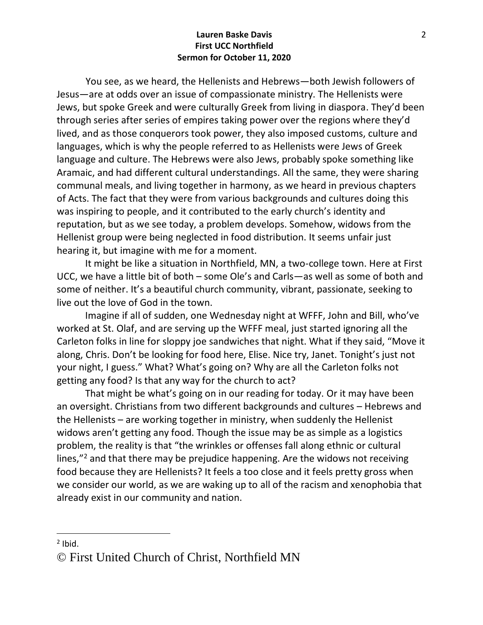You see, as we heard, the Hellenists and Hebrews—both Jewish followers of Jesus—are at odds over an issue of compassionate ministry. The Hellenists were Jews, but spoke Greek and were culturally Greek from living in diaspora. They'd been through series after series of empires taking power over the regions where they'd lived, and as those conquerors took power, they also imposed customs, culture and languages, which is why the people referred to as Hellenists were Jews of Greek language and culture. The Hebrews were also Jews, probably spoke something like Aramaic, and had different cultural understandings. All the same, they were sharing communal meals, and living together in harmony, as we heard in previous chapters of Acts. The fact that they were from various backgrounds and cultures doing this was inspiring to people, and it contributed to the early church's identity and reputation, but as we see today, a problem develops. Somehow, widows from the Hellenist group were being neglected in food distribution. It seems unfair just hearing it, but imagine with me for a moment.

It might be like a situation in Northfield, MN, a two-college town. Here at First UCC, we have a little bit of both – some Ole's and Carls—as well as some of both and some of neither. It's a beautiful church community, vibrant, passionate, seeking to live out the love of God in the town.

Imagine if all of sudden, one Wednesday night at WFFF, John and Bill, who've worked at St. Olaf, and are serving up the WFFF meal, just started ignoring all the Carleton folks in line for sloppy joe sandwiches that night. What if they said, "Move it along, Chris. Don't be looking for food here, Elise. Nice try, Janet. Tonight's just not your night, I guess." What? What's going on? Why are all the Carleton folks not getting any food? Is that any way for the church to act?

That might be what's going on in our reading for today. Or it may have been an oversight. Christians from two different backgrounds and cultures – Hebrews and the Hellenists – are working together in ministry, when suddenly the Hellenist widows aren't getting any food. Though the issue may be as simple as a logistics problem, the reality is that "the wrinkles or offenses fall along ethnic or cultural lines,"<sup>2</sup> and that there may be prejudice happening. Are the widows not receiving food because they are Hellenists? It feels a too close and it feels pretty gross when we consider our world, as we are waking up to all of the racism and xenophobia that already exist in our community and nation.

 $2$  Ibid.

<sup>©</sup> First United Church of Christ, Northfield MN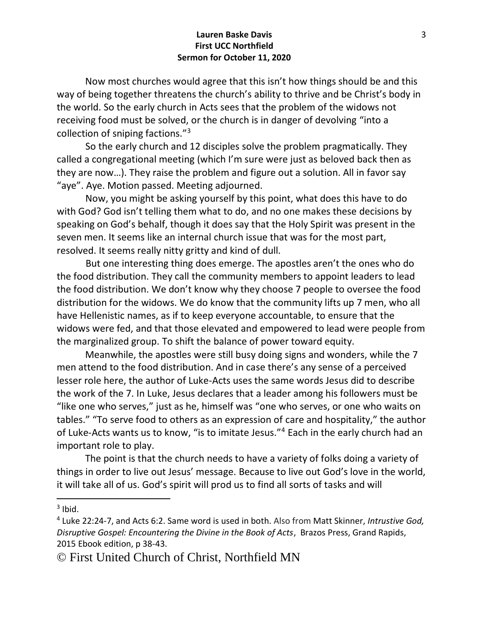Now most churches would agree that this isn't how things should be and this way of being together threatens the church's ability to thrive and be Christ's body in the world. So the early church in Acts sees that the problem of the widows not receiving food must be solved, or the church is in danger of devolving "into a collection of sniping factions."<sup>3</sup>

 So the early church and 12 disciples solve the problem pragmatically. They called a congregational meeting (which I'm sure were just as beloved back then as they are now…). They raise the problem and figure out a solution. All in favor say "aye". Aye. Motion passed. Meeting adjourned.

 Now, you might be asking yourself by this point, what does this have to do with God? God isn't telling them what to do, and no one makes these decisions by speaking on God's behalf, though it does say that the Holy Spirit was present in the seven men. It seems like an internal church issue that was for the most part, resolved. It seems really nitty gritty and kind of dull.

 But one interesting thing does emerge. The apostles aren't the ones who do the food distribution. They call the community members to appoint leaders to lead the food distribution. We don't know why they choose 7 people to oversee the food distribution for the widows. We do know that the community lifts up 7 men, who all have Hellenistic names, as if to keep everyone accountable, to ensure that the widows were fed, and that those elevated and empowered to lead were people from the marginalized group. To shift the balance of power toward equity.

Meanwhile, the apostles were still busy doing signs and wonders, while the 7 men attend to the food distribution. And in case there's any sense of a perceived lesser role here, the author of Luke-Acts uses the same words Jesus did to describe the work of the 7. In Luke, Jesus declares that a leader among his followers must be "like one who serves," just as he, himself was "one who serves, or one who waits on tables." "To serve food to others as an expression of care and hospitality," the author of Luke-Acts wants us to know, "is to imitate Jesus."<sup>4</sup> Each in the early church had an important role to play.

The point is that the church needs to have a variety of folks doing a variety of things in order to live out Jesus' message. Because to live out God's love in the world, it will take all of us. God's spirit will prod us to find all sorts of tasks and will

 $3$  Ibid.

<sup>4</sup> Luke 22:24-7, and Acts 6:2. Same word is used in both. Also from Matt Skinner, *Intrustive God, Disruptive Gospel: Encountering the Divine in the Book of Acts*, Brazos Press, Grand Rapids, 2015 Ebook edition, p 38-43.

<sup>©</sup> First United Church of Christ, Northfield MN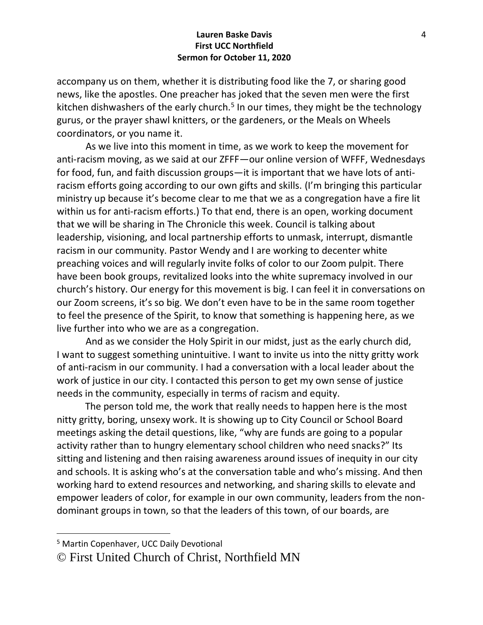accompany us on them, whether it is distributing food like the 7, or sharing good news, like the apostles. One preacher has joked that the seven men were the first kitchen dishwashers of the early church.<sup>5</sup> In our times, they might be the technology gurus, or the prayer shawl knitters, or the gardeners, or the Meals on Wheels coordinators, or you name it.

 As we live into this moment in time, as we work to keep the movement for anti-racism moving, as we said at our ZFFF—our online version of WFFF, Wednesdays for food, fun, and faith discussion groups—it is important that we have lots of antiracism efforts going according to our own gifts and skills. (I'm bringing this particular ministry up because it's become clear to me that we as a congregation have a fire lit within us for anti-racism efforts.) To that end, there is an open, working document that we will be sharing in The Chronicle this week. Council is talking about leadership, visioning, and local partnership efforts to unmask, interrupt, dismantle racism in our community. Pastor Wendy and I are working to decenter white preaching voices and will regularly invite folks of color to our Zoom pulpit. There have been book groups, revitalized looks into the white supremacy involved in our church's history. Our energy for this movement is big. I can feel it in conversations on our Zoom screens, it's so big. We don't even have to be in the same room together to feel the presence of the Spirit, to know that something is happening here, as we live further into who we are as a congregation.

 And as we consider the Holy Spirit in our midst, just as the early church did, I want to suggest something unintuitive. I want to invite us into the nitty gritty work of anti-racism in our community. I had a conversation with a local leader about the work of justice in our city. I contacted this person to get my own sense of justice needs in the community, especially in terms of racism and equity.

The person told me, the work that really needs to happen here is the most nitty gritty, boring, unsexy work. It is showing up to City Council or School Board meetings asking the detail questions, like, "why are funds are going to a popular activity rather than to hungry elementary school children who need snacks?" Its sitting and listening and then raising awareness around issues of inequity in our city and schools. It is asking who's at the conversation table and who's missing. And then working hard to extend resources and networking, and sharing skills to elevate and empower leaders of color, for example in our own community, leaders from the nondominant groups in town, so that the leaders of this town, of our boards, are

<sup>5</sup> Martin Copenhaver, UCC Daily Devotional

<sup>©</sup> First United Church of Christ, Northfield MN